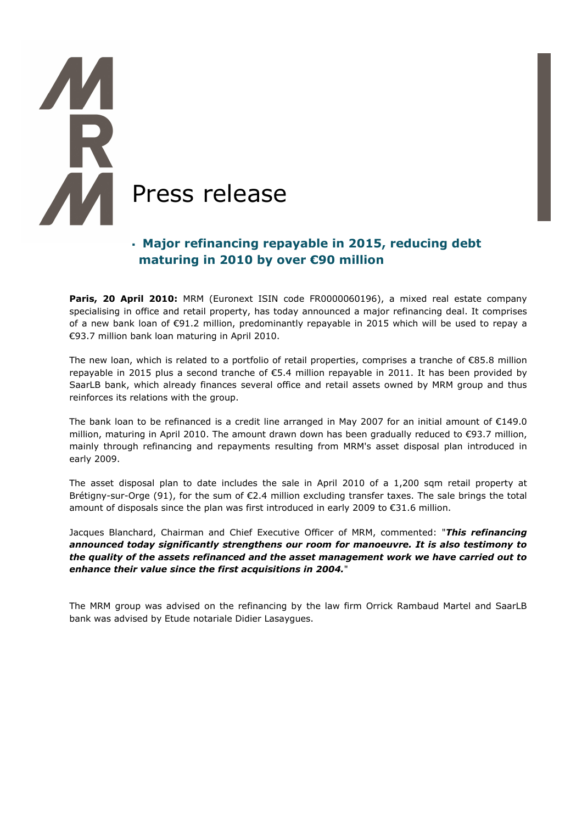# **AM** Press release

# Major refinancing repayable in 2015, reducing debt maturing in 2010 by over €90 million

Paris, 20 April 2010: MRM (Euronext ISIN code FR0000060196), a mixed real estate company specialising in office and retail property, has today announced a major refinancing deal. It comprises of a new bank loan of €91.2 million, predominantly repayable in 2015 which will be used to repay a €93.7 million bank loan maturing in April 2010.

The new loan, which is related to a portfolio of retail properties, comprises a tranche of €85.8 million repayable in 2015 plus a second tranche of €5.4 million repayable in 2011. It has been provided by SaarLB bank, which already finances several office and retail assets owned by MRM group and thus reinforces its relations with the group.

The bank loan to be refinanced is a credit line arranged in May 2007 for an initial amount of  $\epsilon$ 149.0 million, maturing in April 2010. The amount drawn down has been gradually reduced to €93.7 million, mainly through refinancing and repayments resulting from MRM's asset disposal plan introduced in early 2009.

The asset disposal plan to date includes the sale in April 2010 of a 1,200 sqm retail property at Brétigny-sur-Orge (91), for the sum of €2.4 million excluding transfer taxes. The sale brings the total amount of disposals since the plan was first introduced in early 2009 to  $\epsilon$ 31.6 million.

Jacques Blanchard, Chairman and Chief Executive Officer of MRM, commented: "This refinancing announced today significantly strengthens our room for manoeuvre. It is also testimony to the quality of the assets refinanced and the asset management work we have carried out to enhance their value since the first acquisitions in 2004."

The MRM group was advised on the refinancing by the law firm Orrick Rambaud Martel and SaarLB bank was advised by Etude notariale Didier Lasaygues.